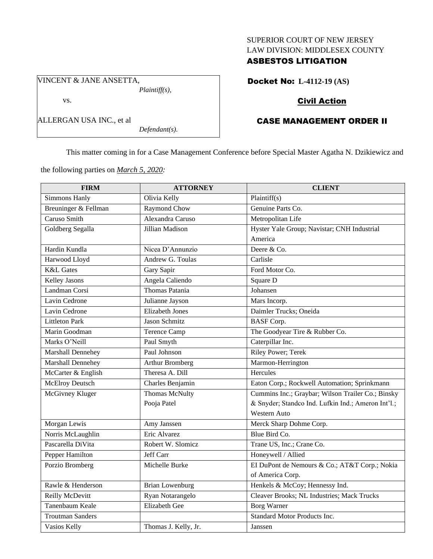### SUPERIOR COURT OF NEW JERSEY LAW DIVISION: MIDDLESEX COUNTY

### ASBESTOS LITIGATION

VINCENT & JANE ANSETTA, *Plaintiff(s),*

#### vs.

| ALLERGAN USA INC., et al |  |
|--------------------------|--|
|--------------------------|--|

*Defendant(s).*

# Docket No: **L-4112-19 (AS)**

## Civil Action

## CASE MANAGEMENT ORDER II

This matter coming in for a Case Management Conference before Special Master Agatha N. Dzikiewicz and

the following parties on *March 5, 2020:*

| <b>FIRM</b>             | <b>ATTORNEY</b>        | <b>CLIENT</b>                                      |
|-------------------------|------------------------|----------------------------------------------------|
| Simmons Hanly           | Olivia Kelly           | Plaintiff(s)                                       |
| Breuninger & Fellman    | Raymond Chow           | Genuine Parts Co.                                  |
| Caruso Smith            | Alexandra Caruso       | Metropolitan Life                                  |
| Goldberg Segalla        | Jillian Madison        | Hyster Yale Group; Navistar; CNH Industrial        |
|                         |                        | America                                            |
| Hardin Kundla           | Nicea D'Annunzio       | Deere & Co.                                        |
| Harwood Lloyd           | Andrew G. Toulas       | Carlisle                                           |
| <b>K&amp;L</b> Gates    | Gary Sapir             | Ford Motor Co.                                     |
| <b>Kelley Jasons</b>    | Angela Caliendo        | Square D                                           |
| Landman Corsi           | Thomas Patania         | Johansen                                           |
| Lavin Cedrone           | Julianne Jayson        | Mars Incorp.                                       |
| Lavin Cedrone           | <b>Elizabeth Jones</b> | Daimler Trucks; Oneida                             |
| <b>Littleton Park</b>   | Jason Schmitz          | <b>BASF</b> Corp.                                  |
| Marin Goodman           | <b>Terence Camp</b>    | The Goodyear Tire & Rubber Co.                     |
| Marks O'Neill           | Paul Smyth             | Caterpillar Inc.                                   |
| Marshall Dennehey       | Paul Johnson           | Riley Power; Terek                                 |
| Marshall Dennehey       | <b>Arthur Bromberg</b> | Marmon-Herrington                                  |
| McCarter & English      | Theresa A. Dill        | Hercules                                           |
| McElroy Deutsch         | Charles Benjamin       | Eaton Corp.; Rockwell Automation; Sprinkmann       |
| McGivney Kluger         | Thomas McNulty         | Cummins Inc.; Graybar; Wilson Trailer Co.; Binsky  |
|                         | Pooja Patel            | & Snyder; Standco Ind. Lufkin Ind.; Ameron Int'l.; |
|                         |                        | <b>Western Auto</b>                                |
| Morgan Lewis            | Amy Janssen            | Merck Sharp Dohme Corp.                            |
| Norris McLaughlin       | Eric Alvarez           | Blue Bird Co.                                      |
| Pascarella DiVita       | Robert W. Slomicz      | Trane US, Inc.; Crane Co.                          |
| Pepper Hamilton         | Jeff Carr              | Honeywell / Allied                                 |
| Porzio Bromberg         | Michelle Burke         | El DuPont de Nemours & Co.; AT&T Corp.; Nokia      |
|                         |                        | of America Corp.                                   |
| Rawle & Henderson       | <b>Brian Lowenburg</b> | Henkels & McCoy; Hennessy Ind.                     |
| Reilly McDevitt         | Ryan Notarangelo       | Cleaver Brooks; NL Industries; Mack Trucks         |
| Tanenbaum Keale         | <b>Elizabeth Gee</b>   | <b>Borg Warner</b>                                 |
| <b>Troutman Sanders</b> |                        | Standard Motor Products Inc.                       |
| Vasios Kelly            | Thomas J. Kelly, Jr.   | Janssen                                            |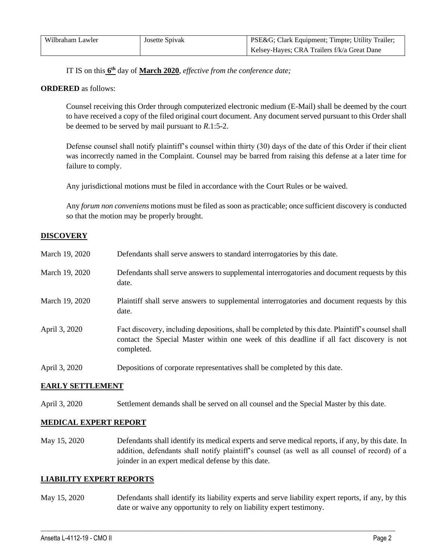| Wilbraham Lawler | Josette Spivak | PSE&G Clark Equipment; Timpte; Utility Trailer; |
|------------------|----------------|-------------------------------------------------|
|                  |                | Kelsey-Hayes; CRA Trailers f/k/a Great Dane     |

IT IS on this **6 th** day of **March 2020**, *effective from the conference date;*

#### **ORDERED** as follows:

Counsel receiving this Order through computerized electronic medium (E-Mail) shall be deemed by the court to have received a copy of the filed original court document. Any document served pursuant to this Order shall be deemed to be served by mail pursuant to *R*.1:5-2.

Defense counsel shall notify plaintiff's counsel within thirty (30) days of the date of this Order if their client was incorrectly named in the Complaint. Counsel may be barred from raising this defense at a later time for failure to comply.

Any jurisdictional motions must be filed in accordance with the Court Rules or be waived.

Any *forum non conveniens* motions must be filed as soon as practicable; once sufficient discovery is conducted so that the motion may be properly brought.

### **DISCOVERY**

| March 19, 2020 | Defendants shall serve answers to standard interrogatories by this date.                                                                                                                                    |
|----------------|-------------------------------------------------------------------------------------------------------------------------------------------------------------------------------------------------------------|
| March 19, 2020 | Defendants shall serve answers to supplemental interrogatories and document requests by this<br>date.                                                                                                       |
| March 19, 2020 | Plaintiff shall serve answers to supplemental interrogatories and document requests by this<br>date.                                                                                                        |
| April 3, 2020  | Fact discovery, including depositions, shall be completed by this date. Plaintiff's counsel shall<br>contact the Special Master within one week of this deadline if all fact discovery is not<br>completed. |
| April 3, 2020  | Depositions of corporate representatives shall be completed by this date.                                                                                                                                   |

#### **EARLY SETTLEMENT**

April 3, 2020 Settlement demands shall be served on all counsel and the Special Master by this date.

#### **MEDICAL EXPERT REPORT**

May 15, 2020 Defendants shall identify its medical experts and serve medical reports, if any, by this date. In addition, defendants shall notify plaintiff's counsel (as well as all counsel of record) of a joinder in an expert medical defense by this date.

#### **LIABILITY EXPERT REPORTS**

May 15, 2020 Defendants shall identify its liability experts and serve liability expert reports, if any, by this date or waive any opportunity to rely on liability expert testimony.

 $\_$  , and the set of the set of the set of the set of the set of the set of the set of the set of the set of the set of the set of the set of the set of the set of the set of the set of the set of the set of the set of th